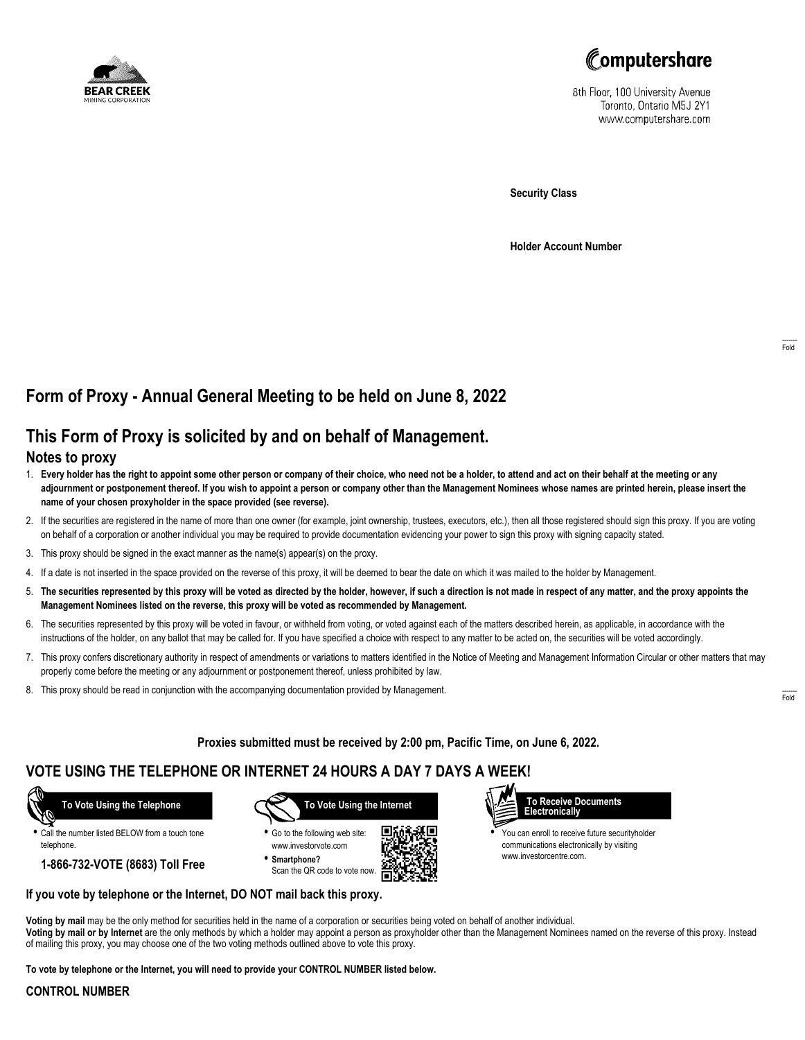



8th Floor, 100 University Avenue Toronto, Ontario M5J 2Y1 www.computershare.com

**Security Class**

**Holder Account Number**

# **Form of Proxy - Annual General Meeting to be held on June 8, 2022**

## **This Form of Proxy is solicited by and on behalf of Management.**

### **Notes to proxy**

- 1. **Every holder has the right to appoint some other person or company of their choice, who need not be a holder, to attend and act on their behalf at the meeting or any adjournment or postponement thereof. If you wish to appoint a person or company other than the Management Nominees whose names are printed herein, please insert the name of your chosen proxyholder in the space provided (see reverse).**
- 2. If the securities are registered in the name of more than one owner (for example, joint ownership, trustees, executors, etc.), then all those registered should sign this proxy. If you are voting on behalf of a corporation or another individual you may be required to provide documentation evidencing your power to sign this proxy with signing capacity stated.
- 3. This proxy should be signed in the exact manner as the name(s) appear(s) on the proxy.
- 4. If a date is not inserted in the space provided on the reverse of this proxy, it will be deemed to bear the date on which it was mailed to the holder by Management.
- 5. **The securities represented by this proxy will be voted as directed by the holder, however, if such a direction is not made in respect of any matter, and the proxy appoints the Management Nominees listed on the reverse, this proxy will be voted as recommended by Management.**
- 6. The securities represented by this proxy will be voted in favour, or withheld from voting, or voted against each of the matters described herein, as applicable, in accordance with the instructions of the holder, on any ballot that may be called for. If you have specified a choice with respect to any matter to be acted on, the securities will be voted accordingly.
- 7. This proxy confers discretionary authority in respect of amendments or variations to matters identified in the Notice of Meeting and Management Information Circular or other matters that may properly come before the meeting or any adjournment or postponement thereof, unless prohibited by law.
- 8. This proxy should be read in conjunction with the accompanying documentation provided by Management.

**Proxies submitted must be received by 2:00 pm, Pacific Time, on June 6, 2022.**

г

## **VOTE USING THE TELEPHONE OR INTERNET 24 HOURS A DAY 7 DAYS A WEEK!**



**•** Call the number listed BELOW from a touch tone telephone.

**1-866-732-VOTE (8683) Toll Free**



**•** Go to the following web site: www.investorvote.com **• Smartphone?**

Scan the QR code to vote now.



www.investorcentre.com.

**Voting by mail** may be the only method for securities held in the name of a corporation or securities being voted on behalf of another individual. **Voting by mail or by Internet** are the only methods by which a holder may appoint a person as proxyholder other than the Management Nominees named on the reverse of this proxy. Instead of mailing this proxy, you may choose one of the two voting methods outlined above to vote this proxy.

**To vote by telephone or the Internet, you will need to provide your CONTROL NUMBER listed below.**

**If you vote by telephone or the Internet, DO NOT mail back this proxy.**

#### **CONTROL NUMBER**